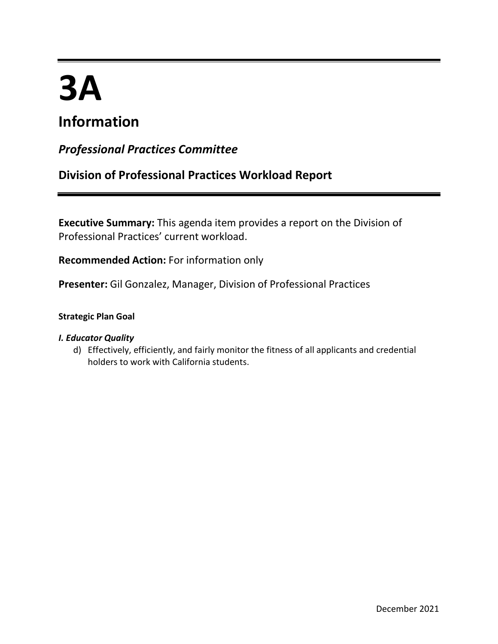# **3A**

# **Information**

## *Professional Practices Committee*

## **Division of Professional Practices Workload Report**

**Executive Summary:** This agenda item provides a report on the Division of Professional Practices' current workload.

**Recommended Action:** For information only

**Presenter:** Gil Gonzalez, Manager, Division of Professional Practices

## **Strategic Plan Goal**

## *I. Educator Quality*

d) Effectively, efficiently, and fairly monitor the fitness of all applicants and credential holders to work with California students.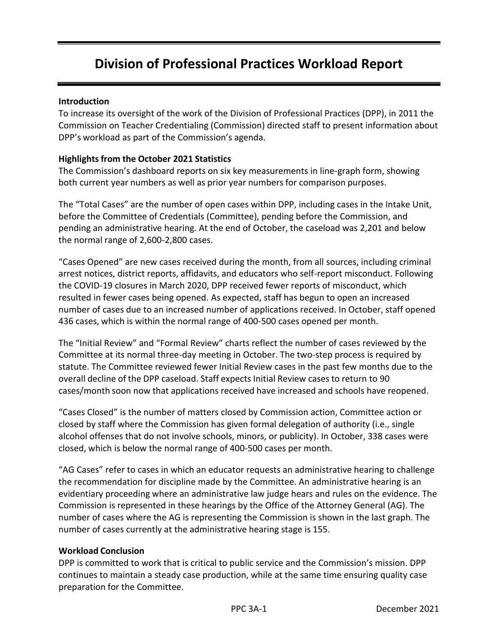# **Division of Professional Practices Workload Report**

#### **Introduction**

To increase its oversight of the work of the Division of Professional Practices (DPP), in 2011 the Commission on Teacher Credentialing (Commission) directed staff to present information about DPP's workload as part of the Commission's agenda.

### **Highlightsfrom the October 2021 Statistics**

The Commission's dashboard reports on six key measurements in line-graph form, showing both current year numbers as well as prior year numbers for comparison purposes.

The "Total Cases" are the number of open cases within DPP, including cases in the Intake Unit, before the Committee of Credentials (Committee), pending before the Commission, and pending an administrative hearing. At the end of October, the caseload was 2,201 and below the normal range of 2,600-2,800 cases.

"Cases Opened" are new cases received during the month, from all sources, including criminal arrest notices, district reports, affidavits, and educators who self-report misconduct. Following the COVID-19 closures in March 2020, DPP received fewer reports of misconduct, which resulted in fewer cases being opened. As expected, staff has begun to open an increased number of cases due to an increased number of applications received. In October, staff opened 436 cases, which is within the normal range of 400-500 cases opened per month.

The "Initial Review" and "Formal Review" charts reflect the number of cases reviewed by the Committee at its normal three-day meeting in October. The two-step process is required by statute. The Committee reviewed fewer Initial Review cases in the past few months due to the overall decline of the DPP caseload. Staff expects Initial Review cases to return to 90 cases/month soon now that applications received have increased and schools have reopened.

"Cases Closed" is the number of matters closed by Commission action, Committee action or closed by staff where the Commission has given formal delegation of authority (i.e., single alcohol offenses that do not involve schools, minors, or publicity). In October, 338 cases were closed, which is below the normal range of 400-500 cases per month.

"AG Cases" refer to cases in which an educator requests an administrative hearing to challenge the recommendation for discipline made by the Committee. An administrative hearing is an evidentiary proceeding where an administrative law judge hears and rules on the evidence. The Commission is represented in these hearings by the Office of the Attorney General (AG). The number of cases where the AG is representing the Commission is shown in the last graph. The number of cases currently at the administrative hearing stage is 155.

#### **Workload Conclusion**

DPP is committed to work that is critical to public service and the Commission's mission. DPP continues to maintain a steady case production, while at the same time ensuring quality case preparation for the Committee.